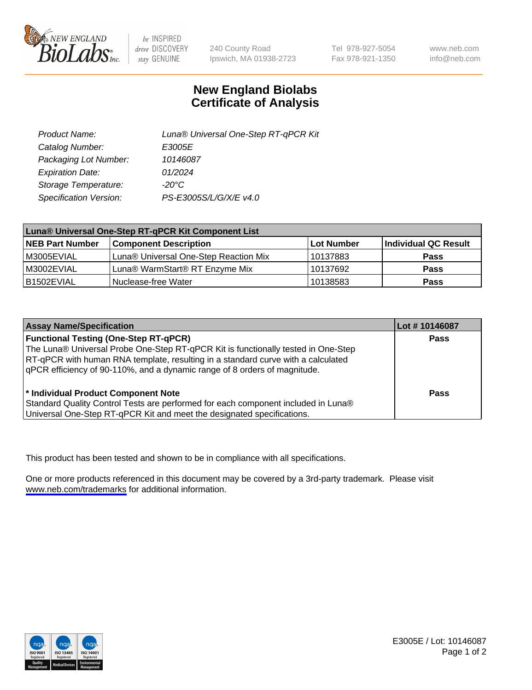

be INSPIRED drive DISCOVERY stay GENUINE

240 County Road Ipswich, MA 01938-2723 Tel 978-927-5054 Fax 978-921-1350

www.neb.com info@neb.com

## **New England Biolabs Certificate of Analysis**

| Product Name:           | Luna® Universal One-Step RT-qPCR Kit |
|-------------------------|--------------------------------------|
| Catalog Number:         | E3005E                               |
| Packaging Lot Number:   | 10146087                             |
| <b>Expiration Date:</b> | 01/2024                              |
| Storage Temperature:    | $-20^{\circ}$ C                      |
| Specification Version:  | PS-E3005S/L/G/X/E v4.0               |

| Luna® Universal One-Step RT-qPCR Kit Component List |                                       |              |                      |  |
|-----------------------------------------------------|---------------------------------------|--------------|----------------------|--|
| <b>NEB Part Number</b>                              | <b>Component Description</b>          | l Lot Number | Individual QC Result |  |
| M3005EVIAL                                          | Luna® Universal One-Step Reaction Mix | 10137883     | <b>Pass</b>          |  |
| M3002EVIAL                                          | Luna® WarmStart® RT Enzyme Mix        | 10137692     | <b>Pass</b>          |  |
| B1502EVIAL                                          | Nuclease-free Water                   | 10138583     | <b>Pass</b>          |  |

| <b>Assay Name/Specification</b>                                                                                                                                                                                                                                                                    | Lot #10146087 |
|----------------------------------------------------------------------------------------------------------------------------------------------------------------------------------------------------------------------------------------------------------------------------------------------------|---------------|
| <b>Functional Testing (One-Step RT-qPCR)</b><br>The Luna® Universal Probe One-Step RT-qPCR Kit is functionally tested in One-Step<br>RT-qPCR with human RNA template, resulting in a standard curve with a calculated<br>qPCR efficiency of 90-110%, and a dynamic range of 8 orders of magnitude. | <b>Pass</b>   |
| * Individual Product Component Note<br>Standard Quality Control Tests are performed for each component included in Luna®<br>Universal One-Step RT-qPCR Kit and meet the designated specifications.                                                                                                 | Pass          |

This product has been tested and shown to be in compliance with all specifications.

One or more products referenced in this document may be covered by a 3rd-party trademark. Please visit <www.neb.com/trademarks>for additional information.